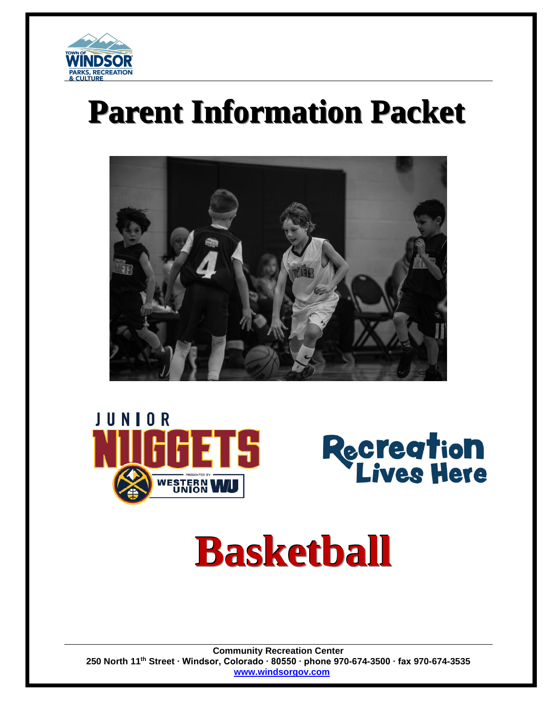

# **Parent Information Packet**







# **Basketball**

**Community Recreation Center 250 North 11th Street ∙ Windsor, Colorado ∙ 80550 ∙ phone 970-674-3500 ∙ fax 970-674-3535 [www.windsorgov.com](http://www.windsorgov.com/)**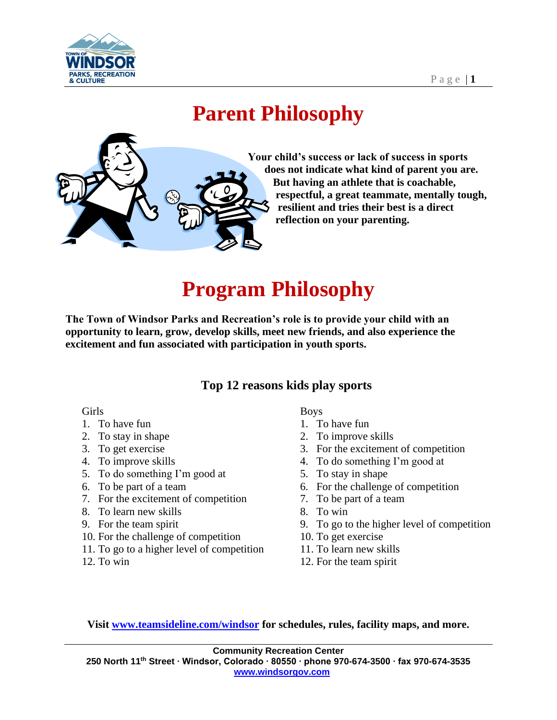

# **Parent Philosophy**



**Your child's success or lack of success in sports does not indicate what kind of parent you are. But having an athlete that is coachable, respectful, a great teammate, mentally tough, resilient and tries their best is a direct reflection on your parenting.**

# **Program Philosophy**

**The Town of Windsor Parks and Recreation's role is to provide your child with an opportunity to learn, grow, develop skills, meet new friends, and also experience the excitement and fun associated with participation in youth sports.**

#### **Top 12 reasons kids play sports**

#### Girls

- 1. To have fun
- 2. To stay in shape
- 3. To get exercise
- 4. To improve skills
- 5. To do something I'm good at
- 6. To be part of a team
- 7. For the excitement of competition
- 8. To learn new skills
- 9. For the team spirit
- 10. For the challenge of competition
- 11. To go to a higher level of competition
- 12. To win

Boys

- 1. To have fun
- 2. To improve skills
- 3. For the excitement of competition
- 4. To do something I'm good at
- 5. To stay in shape
- 6. For the challenge of competition
- 7. To be part of a team
- 8. To win
- 9. To go to the higher level of competition
- 10. To get exercise
- 11. To learn new skills
- 12. For the team spirit

**Visit [www.teamsideline.com/windsor](http://www.teamsideline.com/windsor) for schedules, rules, facility maps, and more.**

**Community Recreation Center 250 North 11th Street ∙ Windsor, Colorado ∙ 80550 ∙ phone 970-674-3500 ∙ fax 970-674-3535 [www.windsorgov.com](http://www.windsorgov.com/)**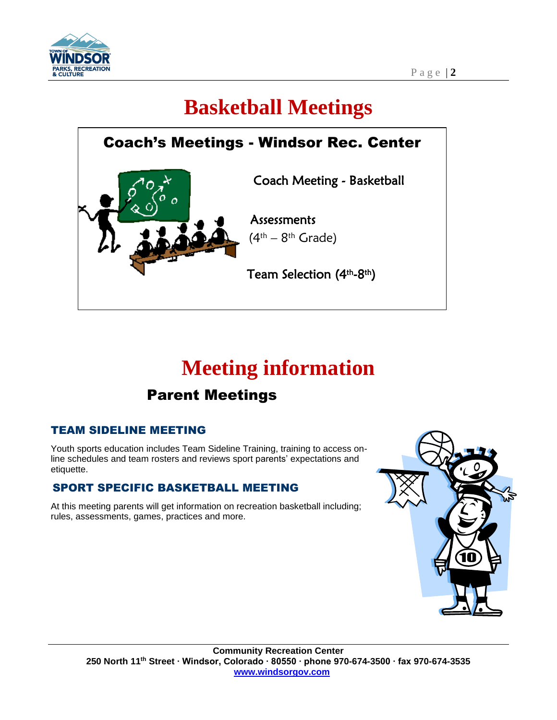

# **Basketball Meetings**



# **Meeting information**

### Parent Meetings

#### TEAM SIDELINE MEETING

 Youth sports education includes Team Sideline Training, training to access on- etiquette. line schedules and team rosters and reviews sport parents' expectations and

### SPORT SPECIFIC BASKETBALL MEETING

 At this meeting parents will get information on recreation basketball including; rules, assessments, games, practices and more.

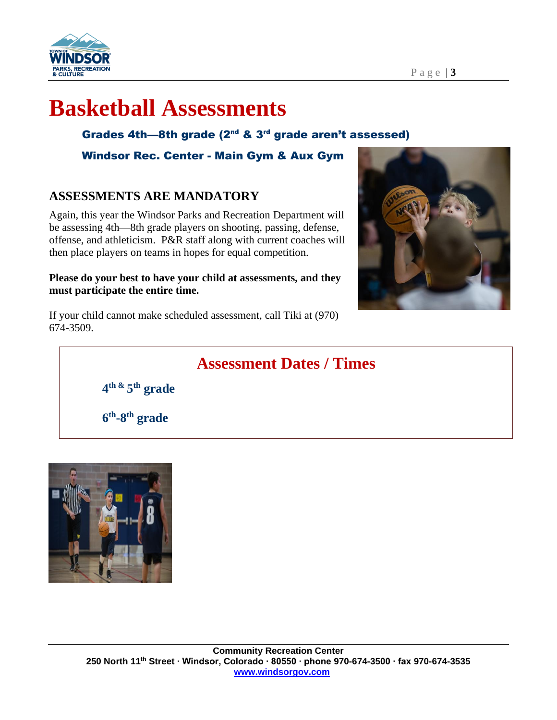

#### P a g e | **3**

## **Basketball Assessments**

Grades 4th-8th grade  $(2^{nd} 8.3^{rd}$  grade aren't assessed)

Windsor Rec. Center - Main Gym & Aux Gym

#### **ASSESSMENTS ARE MANDATORY**

Again, this year the Windsor Parks and Recreation Department will be assessing 4th—8th grade players on shooting, passing, defense, offense, and athleticism. P&R staff along with current coaches will then place players on teams in hopes for equal competition.

#### **Please do your best to have your child at assessments, and they must participate the entire time.**



If your child cannot make scheduled assessment, call Tiki at (970) 674-3509.

### **Assessment Dates / Times**

**4 th & 5 th grade**

**6 th -8 th grade**

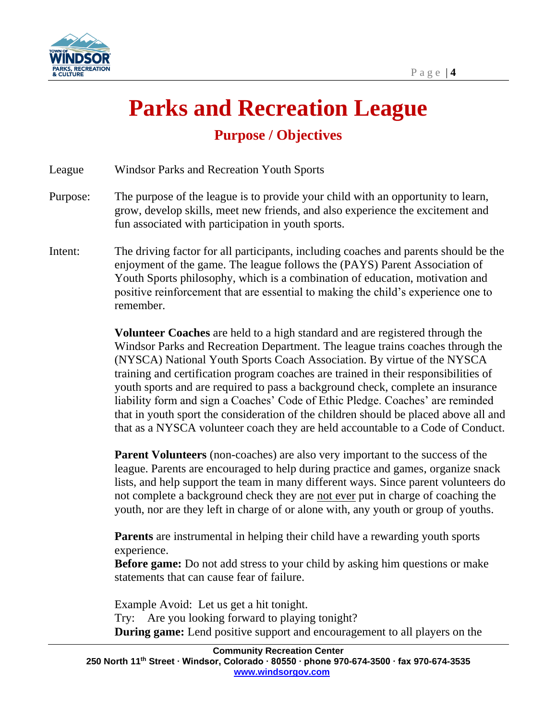

# **Parks and Recreation League Purpose / Objectives**

League Windsor Parks and Recreation Youth Sports

- Purpose: The purpose of the league is to provide your child with an opportunity to learn, grow, develop skills, meet new friends, and also experience the excitement and fun associated with participation in youth sports.
- Intent: The driving factor for all participants, including coaches and parents should be the enjoyment of the game. The league follows the (PAYS) Parent Association of Youth Sports philosophy, which is a combination of education, motivation and positive reinforcement that are essential to making the child's experience one to remember.

**Volunteer Coaches** are held to a high standard and are registered through the Windsor Parks and Recreation Department. The league trains coaches through the (NYSCA) National Youth Sports Coach Association. By virtue of the NYSCA training and certification program coaches are trained in their responsibilities of youth sports and are required to pass a background check, complete an insurance liability form and sign a Coaches' Code of Ethic Pledge. Coaches' are reminded that in youth sport the consideration of the children should be placed above all and that as a NYSCA volunteer coach they are held accountable to a Code of Conduct.

**Parent Volunteers** (non-coaches) are also very important to the success of the league. Parents are encouraged to help during practice and games, organize snack lists, and help support the team in many different ways. Since parent volunteers do not complete a background check they are not ever put in charge of coaching the youth, nor are they left in charge of or alone with, any youth or group of youths.

**Parents** are instrumental in helping their child have a rewarding youth sports experience.

**Before game:** Do not add stress to your child by asking him questions or make statements that can cause fear of failure.

Example Avoid: Let us get a hit tonight. Try: Are you looking forward to playing tonight? **During game:** Lend positive support and encouragement to all players on the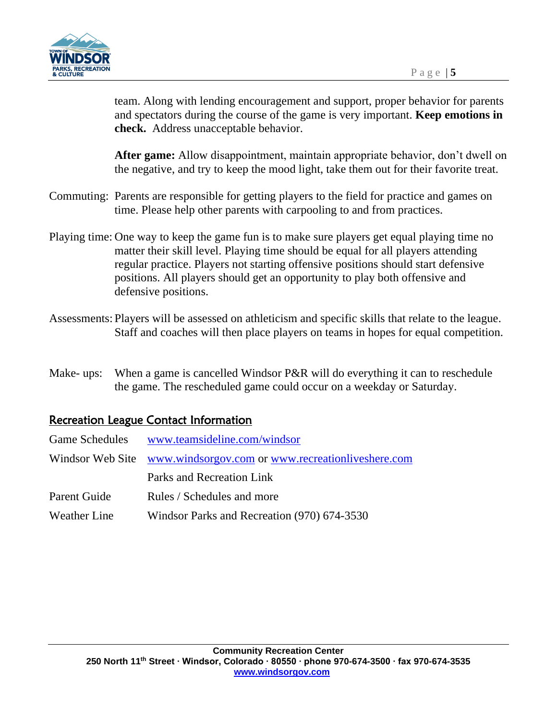

team. Along with lending encouragement and support, proper behavior for parents and spectators during the course of the game is very important. **Keep emotions in check.** Address unacceptable behavior.

**After game:** Allow disappointment, maintain appropriate behavior, don't dwell on the negative, and try to keep the mood light, take them out for their favorite treat.

- Commuting: Parents are responsible for getting players to the field for practice and games on time. Please help other parents with carpooling to and from practices.
- Playing time: One way to keep the game fun is to make sure players get equal playing time no matter their skill level. Playing time should be equal for all players attending regular practice. Players not starting offensive positions should start defensive positions. All players should get an opportunity to play both offensive and defensive positions.
- Assessments: Players will be assessed on athleticism and specific skills that relate to the league. Staff and coaches will then place players on teams in hopes for equal competition.
- Make- ups: When a game is cancelled Windsor P&R will do everything it can to reschedule the game. The rescheduled game could occur on a weekday or Saturday.

#### Recreation League Contact Information

| www.teamsideline.com/windsor                                       |
|--------------------------------------------------------------------|
| Windsor Web Site www.windsorgov.com or www.recreationliveshere.com |
| Parks and Recreation Link                                          |
| Rules / Schedules and more                                         |
| Windsor Parks and Recreation (970) 674-3530                        |
|                                                                    |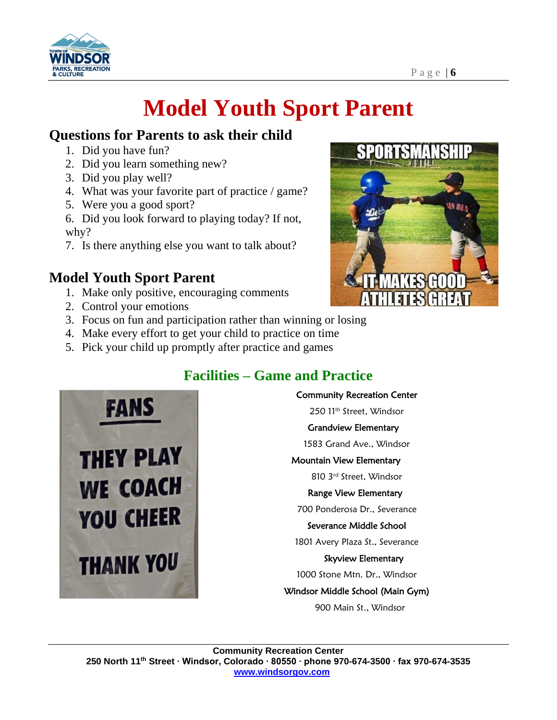

# **Model Youth Sport Parent**

### **Questions for Parents to ask their child**

- 1. Did you have fun?
- 2. Did you learn something new?
- 3. Did you play well?
- 4. What was your favorite part of practice / game?
- 5. Were you a good sport?
- 6. Did you look forward to playing today? If not, why?
- 7. Is there anything else you want to talk about?

### **Model Youth Sport Parent**

- 1. Make only positive, encouraging comments
- 2. Control your emotions
- 3. Focus on fun and participation rather than winning or losing
- 4. Make every effort to get your child to practice on time
- 5. Pick your child up promptly after practice and games

### **Facilities – Game and Practice**





Community Recreation Center

250 11th Street, Windsor

Grandview Elementary

1583 Grand Ave., Windsor

#### Mountain View Elementary

810 3rd Street, Windsor

#### Range View Elementary

700 Ponderosa Dr., Severance

#### Severance Middle School

1801 Avery Plaza St., Severance

Skyview Elementary

1000 Stone Mtn. Dr., Windsor

Windsor Middle School (Main Gym)

900 Main St., Windsor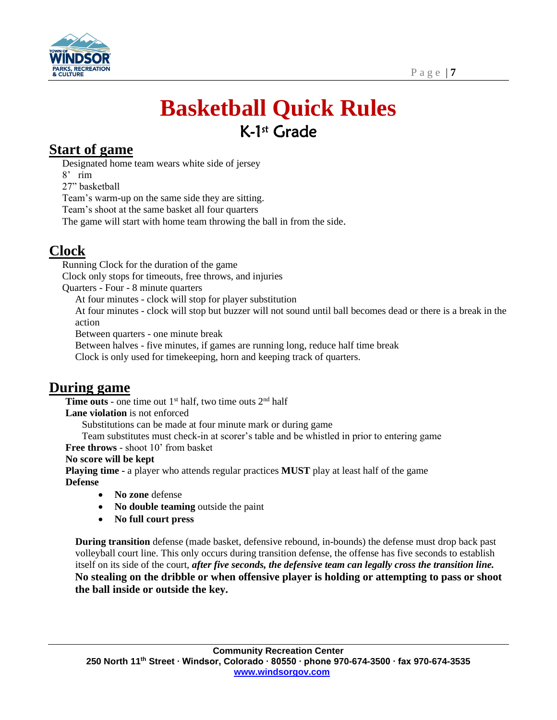

# **Basketball Quick Rules** K-1 st Grade

### **Start of game**

Designated home team wears white side of jersey

8' rim

27" basketball

Team's warm-up on the same side they are sitting.

Team's shoot at the same basket all four quarters

The game will start with home team throwing the ball in from the side.

### **Clock**

Running Clock for the duration of the game

Clock only stops for timeouts, free throws, and injuries

Quarters - Four - 8 minute quarters

At four minutes - clock will stop for player substitution

At four minutes - clock will stop but buzzer will not sound until ball becomes dead or there is a break in the action

Between quarters - one minute break

Between halves - five minutes, if games are running long, reduce half time break

Clock is only used for timekeeping, horn and keeping track of quarters.

### **During game**

**Time outs** - one time out  $1<sup>st</sup>$  half, two time outs  $2<sup>nd</sup>$  half

**Lane violation** is not enforced

Substitutions can be made at four minute mark or during game

Team substitutes must check-in at scorer's table and be whistled in prior to entering game

**Free throws** - shoot 10' from basket

**No score will be kept**

**Playing time -** a player who attends regular practices **MUST** play at least half of the game **Defense**

- **No zone** defense
- **No double teaming** outside the paint
- **No full court press**

**During transition** defense (made basket, defensive rebound, in-bounds) the defense must drop back past volleyball court line. This only occurs during transition defense, the offense has five seconds to establish itself on its side of the court, *after five seconds, the defensive team can legally cross the transition line.* **No stealing on the dribble or when offensive player is holding or attempting to pass or shoot the ball inside or outside the key.**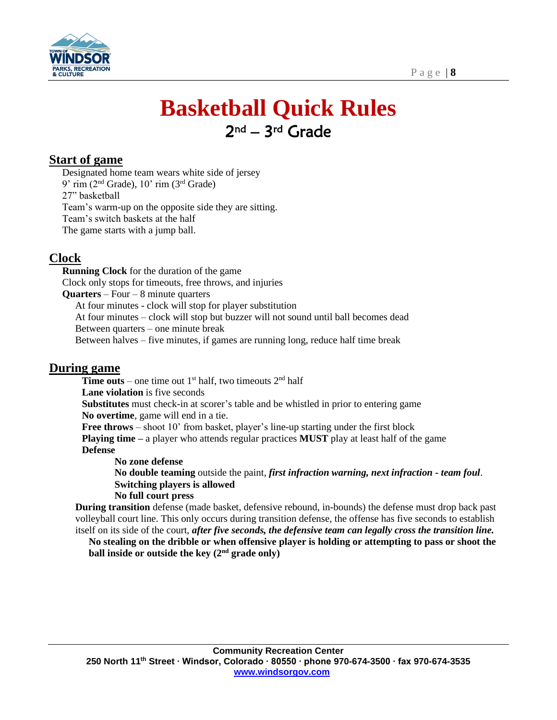

## **Basketball Quick Rules** 2<sup>nd</sup> – 3<sup>rd</sup> Grade

#### **Start of game**

Designated home team wears white side of jersey 9' rim ( $2<sup>nd</sup>$  Grade), 10' rim ( $3<sup>rd</sup>$  Grade) 27" basketball Team's warm-up on the opposite side they are sitting. Team's switch baskets at the half The game starts with a jump ball.

#### **Clock**

**Running Clock** for the duration of the game Clock only stops for timeouts, free throws, and injuries **Quarters** – Four – 8 minute quarters At four minutes - clock will stop for player substitution At four minutes – clock will stop but buzzer will not sound until ball becomes dead Between quarters – one minute break Between halves – five minutes, if games are running long, reduce half time break

#### **During game**

**Time outs** – one time out  $1<sup>st</sup>$  half, two timeouts  $2<sup>nd</sup>$  half **Lane violation** is five seconds **Substitutes** must check-in at scorer's table and be whistled in prior to entering game **No overtime**, game will end in a tie. **Free throws** – shoot 10' from basket, player's line-up starting under the first block **Playing time –** a player who attends regular practices **MUST** play at least half of the game **Defense No zone defense**

**No double teaming** outside the paint, *first infraction warning, next infraction - team foul*. **Switching players is allowed No full court press**

**During transition** defense (made basket, defensive rebound, in-bounds) the defense must drop back past volleyball court line. This only occurs during transition defense, the offense has five seconds to establish itself on its side of the court, *after five seconds, the defensive team can legally cross the transition line.*

**No stealing on the dribble or when offensive player is holding or attempting to pass or shoot the ball inside or outside the key**  $(2<sup>nd</sup> \text{ grade only})$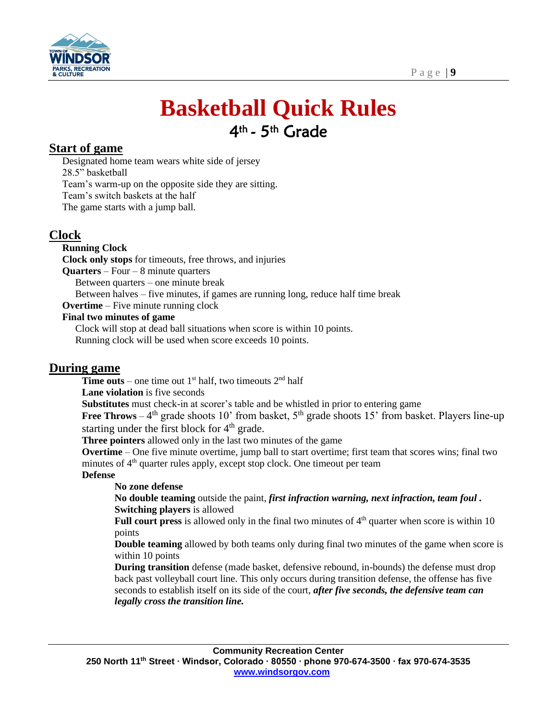

## **Basketball Quick Rules** 4<sup>th</sup> - 5<sup>th</sup> Grade

#### **Start of game**

Designated home team wears white side of jersey 28.5" basketball Team's warm-up on the opposite side they are sitting. Team's switch baskets at the half The game starts with a jump ball.

#### **Clock**

#### **Running Clock**

**Clock only stops** for timeouts, free throws, and injuries

**Quarters** – Four – 8 minute quarters

Between quarters – one minute break

Between halves – five minutes, if games are running long, reduce half time break

**Overtime** – Five minute running clock

#### **Final two minutes of game**

Clock will stop at dead ball situations when score is within 10 points. Running clock will be used when score exceeds 10 points.

#### **During game**

**Time outs** – one time out  $1<sup>st</sup>$  half, two timeouts  $2<sup>nd</sup>$  half

**Lane violation** is five seconds

**Substitutes** must check-in at scorer's table and be whistled in prior to entering game

**Free Throws** –  $4<sup>th</sup>$  grade shoots 10' from basket,  $5<sup>th</sup>$  grade shoots 15' from basket. Players line-up starting under the first block for  $4<sup>th</sup>$  grade.

**Three pointers** allowed only in the last two minutes of the game

**Overtime** – One five minute overtime, jump ball to start overtime; first team that scores wins; final two minutes of  $4<sup>th</sup>$  quarter rules apply, except stop clock. One timeout per team

#### **Defense**

#### **No zone defense**

**No double teaming** outside the paint, *first infraction warning, next infraction, team foul .*  **Switching players** is allowed

**Full court press** is allowed only in the final two minutes of  $4<sup>th</sup>$  quarter when score is within 10 points

**Double teaming** allowed by both teams only during final two minutes of the game when score is within 10 points

**During transition** defense (made basket, defensive rebound, in-bounds) the defense must drop back past volleyball court line. This only occurs during transition defense, the offense has five seconds to establish itself on its side of the court, *after five seconds, the defensive team can legally cross the transition line.*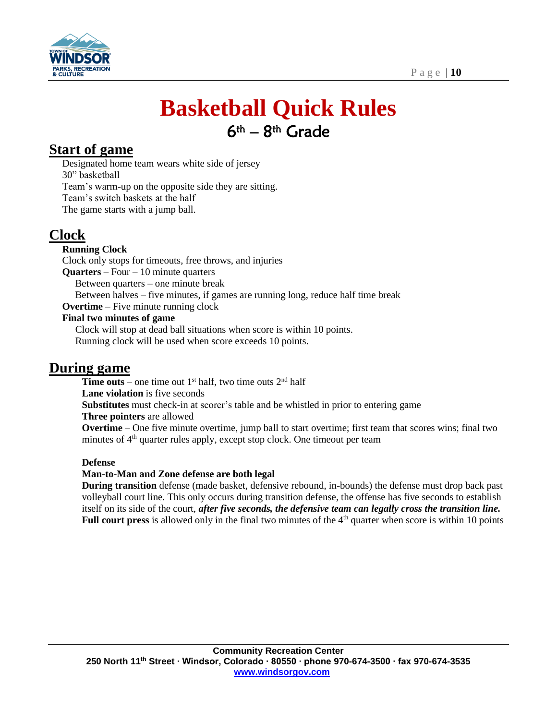

# **Basketball Quick Rules** 6th – 8th Grade

### **Start of game**

Designated home team wears white side of jersey 30" basketball Team's warm-up on the opposite side they are sitting. Team's switch baskets at the half The game starts with a jump ball.

### **Clock**

#### **Running Clock**

Clock only stops for timeouts, free throws, and injuries

**Quarters** – Four – 10 minute quarters

Between quarters – one minute break

Between halves – five minutes, if games are running long, reduce half time break

**Overtime** – Five minute running clock

#### **Final two minutes of game**

Clock will stop at dead ball situations when score is within 10 points. Running clock will be used when score exceeds 10 points.

### **During game**

**Time outs** – one time out  $1<sup>st</sup>$  half, two time outs  $2<sup>nd</sup>$  half **Lane violation** is five seconds **Substitutes** must check-in at scorer's table and be whistled in prior to entering game **Three pointers** are allowed **Overtime** – One five minute overtime, jump ball to start overtime; first team that scores wins; final two minutes of  $4<sup>th</sup>$  quarter rules apply, except stop clock. One timeout per team

#### **Defense**

#### **Man-to-Man and Zone defense are both legal**

**During transition** defense (made basket, defensive rebound, in-bounds) the defense must drop back past volleyball court line. This only occurs during transition defense, the offense has five seconds to establish itself on its side of the court, *after five seconds, the defensive team can legally cross the transition line.* **Full court press** is allowed only in the final two minutes of the 4<sup>th</sup> quarter when score is within 10 points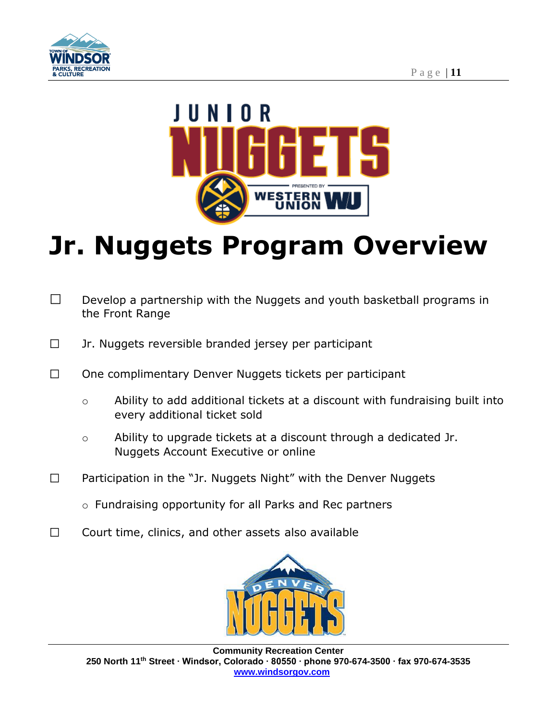



# **Jr. Nuggets Program Overview**

- $\Box$ Develop a partnership with the Nuggets and youth basketball programs in the Front Range
- $\Box$ Jr. Nuggets reversible branded jersey per participant
- One complimentary Denver Nuggets tickets per participant  $\Box$ 
	- o Ability to add additional tickets at a discount with fundraising built into every additional ticket sold
	- o Ability to upgrade tickets at a discount through a dedicated Jr. Nuggets Account Executive or online
- Participation in the "Jr. Nuggets Night" with the Denver Nuggets  $\Box$ 
	- o Fundraising opportunity for all Parks and Rec partners
- $\Box$ Court time, clinics, and other assets also available

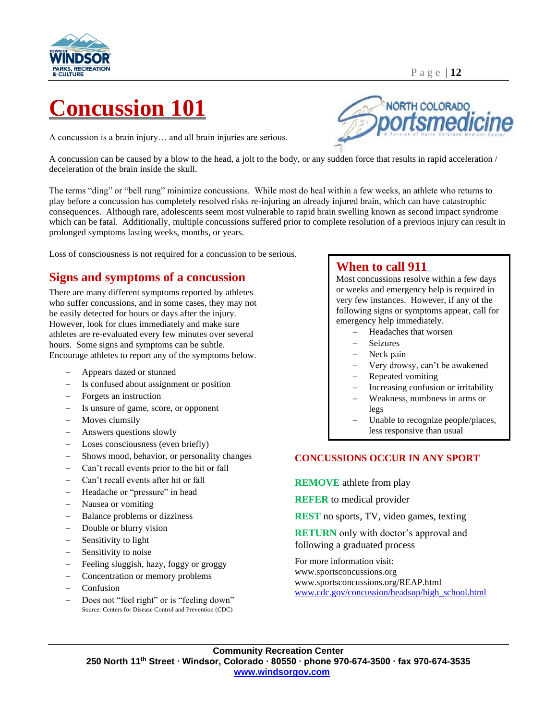

# **Concussion 101**

A concussion is a brain injury… and all brain injuries are serious.

NORTH COLORADO

A concussion can be caused by a blow to the head, a jolt to the body, or any sudden force that results in rapid acceleration / deceleration of the brain inside the skull.

The terms "ding" or "bell rung" minimize concussions. While most do heal within a few weeks, an athlete who returns to play before a concussion has completely resolved risks re-injuring an already injured brain, which can have catastrophic consequences. Although rare, adolescents seem most vulnerable to rapid brain swelling known as second impact syndrome which can be fatal. Additionally, multiple concussions suffered prior to complete resolution of a previous injury can result in prolonged symptoms lasting weeks, months, or years.

Loss of consciousness is not required for a concussion to be serious.

#### **Signs and symptoms of a concussion**

There are many different symptoms reported by athletes who suffer concussions, and in some cases, they may not be easily detected for hours or days after the injury. However, look for clues immediately and make sure athletes are re-evaluated every few minutes over several hours. Some signs and symptoms can be subtle. Encourage athletes to report any of the symptoms below.

- − Appears dazed or stunned
- Is confused about assignment or position
- − Forgets an instruction
- Is unsure of game, score, or opponent
- Moves clumsily
- − Answers questions slowly
- Loses consciousness (even briefly)
- Shows mood, behavior, or personality changes
- − Can't recall events prior to the hit or fall
- − Can't recall events after hit or fall
- − Headache or "pressure" in head
- − Nausea or vomiting
- Balance problems or dizziness
- Double or blurry vision
- − Sensitivity to light
- Sensitivity to noise
- Feeling sluggish, hazy, foggy or groggy
- − Concentration or memory problems
- − Confusion
- Does not "feel right" or is "feeling down" Source: Centers for Disease Control and Prevention (CDC)

#### **When to call 911**

Most concussions resolve within a few days or weeks and emergency help is required in very few instances. However, if any of the following signs or symptoms appear, call for emergency help immediately.

- − Headaches that worsen
- − Seizures
- Neck pain
- − Very drowsy, can't be awakened
- − Repeated vomiting
- Increasing confusion or irritability
- − Weakness, numbness in arms or legs
- Unable to recognize people/places, less responsive than usual

#### **CONCUSSIONS OCCUR IN ANY SPORT**

**REMOVE** athlete from play

**REFER** to medical provider

**REST** no sports, TV, video games, texting

**RETURN** only with doctor's approval and following a graduated process

For more information visit: www.sportsconcussions.org www.sportsconcussions.org/REAP.html [www.cdc.gov/concussion/headsup/high\\_school.html](http://www.cdc.gov/concussion/headsup/high_school.html)